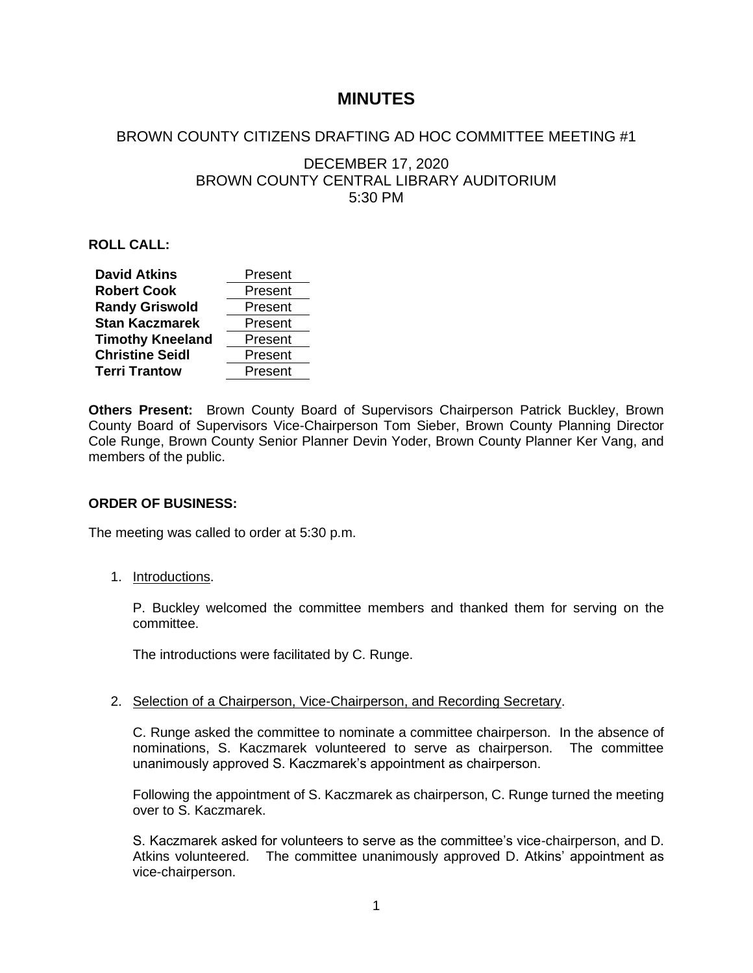# **MINUTES**

# BROWN COUNTY CITIZENS DRAFTING AD HOC COMMITTEE MEETING #1

# DECEMBER 17, 2020 BROWN COUNTY CENTRAL LIBRARY AUDITORIUM 5:30 PM

## **ROLL CALL:**

| <b>David Atkins</b>     | Present |
|-------------------------|---------|
| <b>Robert Cook</b>      | Present |
| <b>Randy Griswold</b>   | Present |
| <b>Stan Kaczmarek</b>   | Present |
| <b>Timothy Kneeland</b> | Present |
| <b>Christine Seidl</b>  | Present |
| <b>Terri Trantow</b>    | Present |

**Others Present:** Brown County Board of Supervisors Chairperson Patrick Buckley, Brown County Board of Supervisors Vice-Chairperson Tom Sieber, Brown County Planning Director Cole Runge, Brown County Senior Planner Devin Yoder, Brown County Planner Ker Vang, and members of the public.

## **ORDER OF BUSINESS:**

The meeting was called to order at 5:30 p.m.

1. Introductions.

P. Buckley welcomed the committee members and thanked them for serving on the committee.

The introductions were facilitated by C. Runge.

2. Selection of a Chairperson, Vice-Chairperson, and Recording Secretary.

C. Runge asked the committee to nominate a committee chairperson. In the absence of nominations, S. Kaczmarek volunteered to serve as chairperson. The committee unanimously approved S. Kaczmarek's appointment as chairperson.

Following the appointment of S. Kaczmarek as chairperson, C. Runge turned the meeting over to S. Kaczmarek.

S. Kaczmarek asked for volunteers to serve as the committee's vice-chairperson, and D. Atkins volunteered. The committee unanimously approved D. Atkins' appointment as vice-chairperson.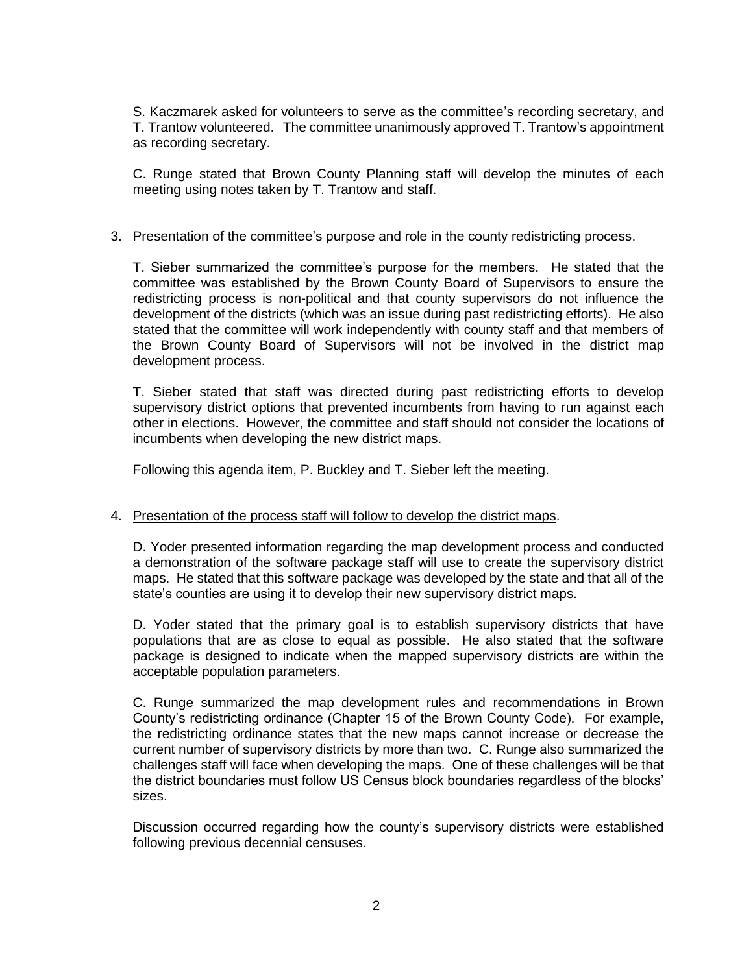S. Kaczmarek asked for volunteers to serve as the committee's recording secretary, and T. Trantow volunteered. The committee unanimously approved T. Trantow's appointment as recording secretary.

C. Runge stated that Brown County Planning staff will develop the minutes of each meeting using notes taken by T. Trantow and staff.

### 3. Presentation of the committee's purpose and role in the county redistricting process.

T. Sieber summarized the committee's purpose for the members. He stated that the committee was established by the Brown County Board of Supervisors to ensure the redistricting process is non-political and that county supervisors do not influence the development of the districts (which was an issue during past redistricting efforts). He also stated that the committee will work independently with county staff and that members of the Brown County Board of Supervisors will not be involved in the district map development process.

T. Sieber stated that staff was directed during past redistricting efforts to develop supervisory district options that prevented incumbents from having to run against each other in elections. However, the committee and staff should not consider the locations of incumbents when developing the new district maps.

Following this agenda item, P. Buckley and T. Sieber left the meeting.

#### 4. Presentation of the process staff will follow to develop the district maps.

D. Yoder presented information regarding the map development process and conducted a demonstration of the software package staff will use to create the supervisory district maps. He stated that this software package was developed by the state and that all of the state's counties are using it to develop their new supervisory district maps.

D. Yoder stated that the primary goal is to establish supervisory districts that have populations that are as close to equal as possible. He also stated that the software package is designed to indicate when the mapped supervisory districts are within the acceptable population parameters.

C. Runge summarized the map development rules and recommendations in Brown County's redistricting ordinance (Chapter 15 of the Brown County Code). For example, the redistricting ordinance states that the new maps cannot increase or decrease the current number of supervisory districts by more than two. C. Runge also summarized the challenges staff will face when developing the maps. One of these challenges will be that the district boundaries must follow US Census block boundaries regardless of the blocks' sizes.

Discussion occurred regarding how the county's supervisory districts were established following previous decennial censuses.